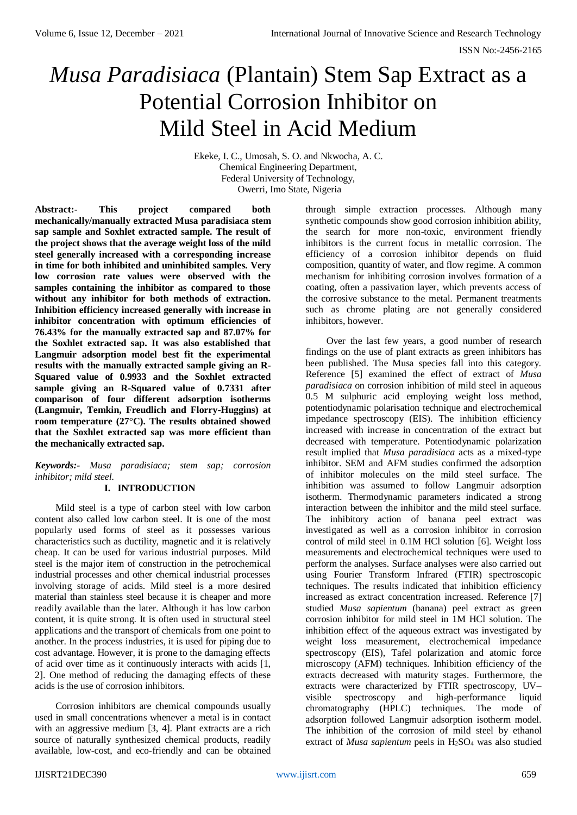# *Musa Paradisiaca* (Plantain) Stem Sap Extract as a Potential Corrosion Inhibitor on Mild Steel in Acid Medium

Ekeke, I. C., Umosah, S. O. and Nkwocha, A. C. Chemical Engineering Department, Federal University of Technology, Owerri, Imo State, Nigeria

**Abstract:- This project compared both mechanically/manually extracted Musa paradisiaca stem sap sample and Soxhlet extracted sample. The result of the project shows that the average weight loss of the mild steel generally increased with a corresponding increase in time for both inhibited and uninhibited samples. Very low corrosion rate values were observed with the samples containing the inhibitor as compared to those without any inhibitor for both methods of extraction. Inhibition efficiency increased generally with increase in inhibitor concentration with optimum efficiencies of 76.43% for the manually extracted sap and 87.07% for the Soxhlet extracted sap. It was also established that Langmuir adsorption model best fit the experimental results with the manually extracted sample giving an R-Squared value of 0.9933 and the Soxhlet extracted sample giving an R-Squared value of 0.7331 after comparison of four different adsorption isotherms (Langmuir, Temkin, Freudlich and Florry-Huggins) at room temperature (27°C). The results obtained showed that the Soxhlet extracted sap was more efficient than the mechanically extracted sap.**

# *Keywords:- Musa paradisiaca; stem sap; corrosion inhibitor; mild steel.*

# **I. INTRODUCTION**

Mild steel is a type of carbon steel with low carbon content also called low carbon steel. It is one of the most popularly used forms of steel as it possesses various characteristics such as ductility, magnetic and it is relatively cheap. It can be used for various industrial purposes. Mild steel is the major item of construction in the petrochemical industrial processes and other chemical industrial processes involving storage of acids. Mild steel is a more desired material than stainless steel because it is cheaper and more readily available than the later. Although it has low carbon content, it is quite strong. It is often used in structural steel applications and the transport of chemicals from one point to another. In the process industries, it is used for piping due to cost advantage. However, it is prone to the damaging effects of acid over time as it continuously interacts with acids [1, 2]. One method of reducing the damaging effects of these acids is the use of corrosion inhibitors.

Corrosion inhibitors are chemical compounds usually used in small concentrations whenever a metal is in contact with an aggressive medium [3, 4]. Plant extracts are a rich source of naturally synthesized chemical products, readily available, low-cost, and eco-friendly and can be obtained through simple extraction processes. Although many synthetic compounds show good corrosion inhibition ability, the search for more non-toxic, environment friendly inhibitors is the current focus in metallic corrosion. The efficiency of a corrosion inhibitor depends on fluid composition, quantity of water, and flow regime. A common mechanism for inhibiting corrosion involves formation of a coating, often a passivation layer, which prevents access of the corrosive substance to the metal. Permanent treatments such as chrome plating are not generally considered inhibitors, however.

Over the last few years, a good number of research findings on the use of plant extracts as green inhibitors has been published. The Musa species fall into this category. Reference [5] examined the effect of extract of *Musa paradisiaca* on corrosion inhibition of mild steel in aqueous 0.5 M sulphuric acid employing weight loss method, potentiodynamic polarisation technique and electrochemical impedance spectroscopy (EIS). The inhibition efficiency increased with increase in concentration of the extract but decreased with temperature. Potentiodynamic polarization result implied that *Musa paradisiaca* acts as a mixed-type inhibitor. SEM and AFM studies confirmed the adsorption of inhibitor molecules on the mild steel surface. The inhibition was assumed to follow Langmuir adsorption isotherm. Thermodynamic parameters indicated a strong interaction between the inhibitor and the mild steel surface. The inhibitory action of banana peel extract was investigated as well as a corrosion inhibitor in corrosion control of mild steel in 0.1M HCl solution [6]. Weight loss measurements and electrochemical techniques were used to perform the analyses. Surface analyses were also carried out using Fourier Transform Infrared (FTIR) spectroscopic techniques. The results indicated that inhibition efficiency increased as extract concentration increased. Reference [7] studied *Musa sapientum* (banana) peel extract as green corrosion inhibitor for mild steel in 1M HCl solution. The inhibition effect of the aqueous extract was investigated by weight loss measurement, electrochemical impedance spectroscopy (EIS), Tafel polarization and atomic force microscopy (AFM) techniques. Inhibition efficiency of the extracts decreased with maturity stages. Furthermore, the extracts were characterized by FTIR spectroscopy, UV– visible spectroscopy and high-performance liquid chromatography (HPLC) techniques. The mode of adsorption followed Langmuir adsorption isotherm model. The inhibition of the corrosion of mild steel by ethanol extract of *Musa sapientum* peels in H<sub>2</sub>SO<sub>4</sub> was also studied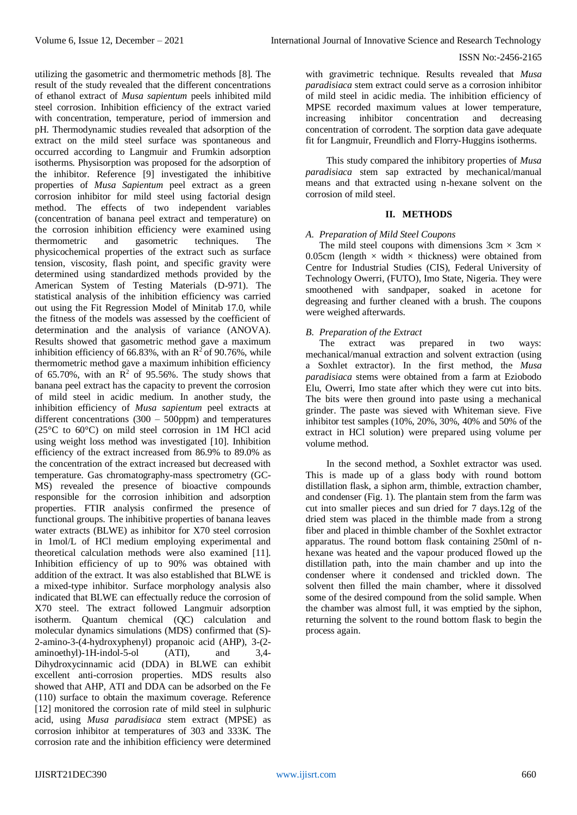utilizing the gasometric and thermometric methods [8]. The

#### ISSN No:-2456-2165

result of the study revealed that the different concentrations of ethanol extract of *Musa sapientum* peels inhibited mild steel corrosion. Inhibition efficiency of the extract varied with concentration, temperature, period of immersion and pH. Thermodynamic studies revealed that adsorption of the extract on the mild steel surface was spontaneous and occurred according to Langmuir and Frumkin adsorption isotherms. Physisorption was proposed for the adsorption of the inhibitor. Reference [9] investigated the inhibitive properties of *Musa Sapientum* peel extract as a green corrosion inhibitor for mild steel using factorial design method. The effects of two independent variables (concentration of banana peel extract and temperature) on the corrosion inhibition efficiency were examined using thermometric and gasometric techniques. The physicochemical properties of the extract such as surface tension, viscosity, flash point, and specific gravity were determined using standardized methods provided by the American System of Testing Materials (D-971). The statistical analysis of the inhibition efficiency was carried out using the Fit Regression Model of Minitab 17.0, while the fitness of the models was assessed by the coefficient of determination and the analysis of variance (ANOVA). Results showed that gasometric method gave a maximum inhibition efficiency of 66.83%, with an  $\mathbb{R}^2$  of 90.76%, while thermometric method gave a maximum inhibition efficiency of 65.70%, with an  $\mathbb{R}^2$  of 95.56%. The study shows that banana peel extract has the capacity to prevent the corrosion of mild steel in acidic medium. In another study, the inhibition efficiency of *Musa sapientum* peel extracts at different concentrations  $(300 - 500$ ppm) and temperatures (25°C to 60°C) on mild steel corrosion in 1M HCl acid using weight loss method was investigated [10]. Inhibition efficiency of the extract increased from 86.9% to 89.0% as the concentration of the extract increased but decreased with temperature. Gas chromatography-mass spectrometry (GC-MS) revealed the presence of bioactive compounds responsible for the corrosion inhibition and adsorption properties. FTIR analysis confirmed the presence of functional groups. The inhibitive properties of banana leaves water extracts (BLWE) as inhibitor for X70 steel corrosion in 1mol/L of HCl medium employing experimental and theoretical calculation methods were also examined [11]. Inhibition efficiency of up to 90% was obtained with addition of the extract. It was also established that BLWE is a mixed-type inhibitor. Surface morphology analysis also indicated that BLWE can effectually reduce the corrosion of X70 steel. The extract followed Langmuir adsorption isotherm. Quantum chemical (QC) calculation and molecular dynamics simulations (MDS) confirmed that (S)- 2-amino-3-(4-hydroxyphenyl) propanoic acid (AHP), 3-(2 aminoethyl)-1H-indol-5-ol (ATI), and 3,4- Dihydroxycinnamic acid (DDA) in BLWE can exhibit excellent anti-corrosion properties. MDS results also showed that AHP, ATI and DDA can be adsorbed on the Fe (110) surface to obtain the maximum coverage. Reference [12] monitored the corrosion rate of mild steel in sulphuric acid, using *Musa paradisiaca* stem extract (MPSE) as corrosion inhibitor at temperatures of 303 and 333K. The corrosion rate and the inhibition efficiency were determined

with gravimetric technique. Results revealed that *Musa paradisiaca* stem extract could serve as a corrosion inhibitor of mild steel in acidic media. The inhibition efficiency of MPSE recorded maximum values at lower temperature, increasing inhibitor concentration and decreasing concentration of corrodent. The sorption data gave adequate fit for Langmuir, Freundlich and Florry-Huggins isotherms.

This study compared the inhibitory properties of *Musa paradisiaca* stem sap extracted by mechanical/manual means and that extracted using n-hexane solvent on the corrosion of mild steel.

#### **II. METHODS**

#### *A. Preparation of Mild Steel Coupons*

The mild steel coupons with dimensions  $3cm \times 3cm \times$ 0.05cm (length  $\times$  width  $\times$  thickness) were obtained from Centre for Industrial Studies (CIS), Federal University of Technology Owerri, (FUTO), Imo State, Nigeria. They were smoothened with sandpaper, soaked in acetone for degreasing and further cleaned with a brush. The coupons were weighed afterwards.

#### *B. Preparation of the Extract*

The extract was prepared in two ways: mechanical/manual extraction and solvent extraction (using a Soxhlet extractor). In the first method, the *Musa paradisiaca* stems were obtained from a farm at Eziobodo Elu, Owerri, Imo state after which they were cut into bits. The bits were then ground into paste using a mechanical grinder. The paste was sieved with Whiteman sieve. Five inhibitor test samples (10%, 20%, 30%, 40% and 50% of the extract in HCl solution) were prepared using volume per volume method.

In the second method, a Soxhlet extractor was used. This is made up of a glass body with round bottom distillation flask, a siphon arm, thimble, extraction chamber, and condenser (Fig. 1). The plantain stem from the farm was cut into smaller pieces and sun dried for 7 days.12g of the dried stem was placed in the thimble made from a strong fiber and placed in thimble chamber of the Soxhlet extractor apparatus. The round bottom flask containing 250ml of nhexane was heated and the vapour produced flowed up the distillation path, into the main chamber and up into the condenser where it condensed and trickled down. The solvent then filled the main chamber, where it dissolved some of the desired compound from the solid sample. When the chamber was almost full, it was emptied by the siphon, returning the solvent to the round bottom flask to begin the process again.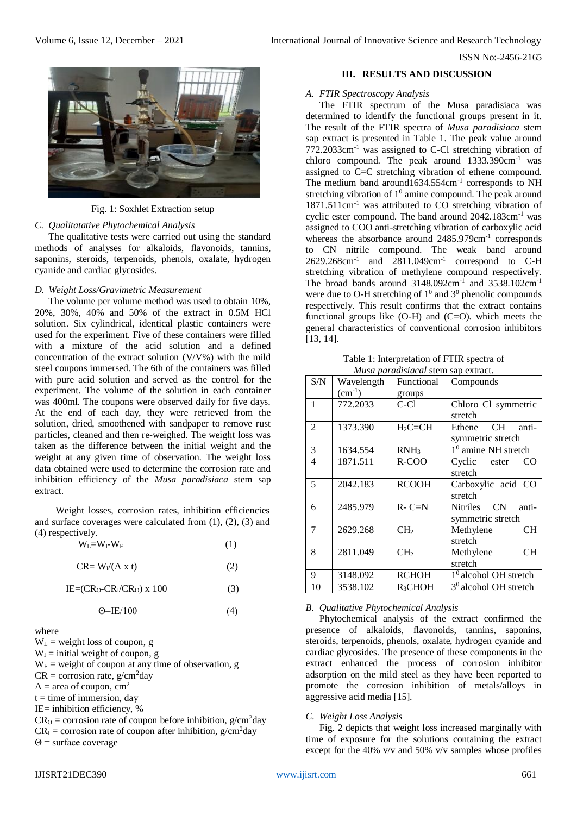

Fig. 1: Soxhlet Extraction setup

#### *C. Qualitatative Phytochemical Analysis*

The qualitative tests were carried out using the standard methods of analyses for alkaloids, flavonoids, tannins, saponins, steroids, terpenoids, phenols, oxalate, hydrogen cyanide and cardiac glycosides.

#### *D. Weight Loss/Gravimetric Measurement*

The volume per volume method was used to obtain 10%, 20%, 30%, 40% and 50% of the extract in 0.5M HCl solution. Six cylindrical, identical plastic containers were used for the experiment. Five of these containers were filled with a mixture of the acid solution and a defined concentration of the extract solution (V/V%) with the mild steel coupons immersed. The 6th of the containers was filled with pure acid solution and served as the control for the experiment. The volume of the solution in each container was 400ml. The coupons were observed daily for five days. At the end of each day, they were retrieved from the solution, dried, smoothened with sandpaper to remove rust particles, cleaned and then re-weighed. The weight loss was taken as the difference between the initial weight and the weight at any given time of observation. The weight loss data obtained were used to determine the corrosion rate and inhibition efficiency of the *Musa paradisiaca* stem sap extract.

Weight losses, corrosion rates, inhibition efficiencies and surface coverages were calculated from (1), (2), (3) and (4) respectively.

| $W_I = W_I - W_F$ | (1) |
|-------------------|-----|
|-------------------|-----|

$$
CR = W_1/(A \times t) \tag{2}
$$

 $IE=(CR_0-CR_1/CR_0) \times 100$  (3)

$$
\Theta = IE/100\tag{4}
$$

where

 $W_L$  = weight loss of coupon, g

 $W<sub>I</sub>$  = initial weight of coupon, g

 $W_F$  = weight of coupon at any time of observation, g

 $CR = \text{corrosion rate}, g/cm^2 \text{day}$ 

 $A = \text{area of coupon}, \text{cm}^2$ 

 $t =$  time of immersion, day

IE= inhibition efficiency, %

 $CR<sub>O</sub>$  = corrosion rate of coupon before inhibition, g/cm<sup>2</sup>day  $CR<sub>I</sub>$  = corrosion rate of coupon after inhibition, g/cm<sup>2</sup>day

# Θ = surface coverage

#### **III. RESULTS AND DISCUSSION**

#### *A. FTIR Spectroscopy Analysis*

The FTIR spectrum of the Musa paradisiaca was determined to identify the functional groups present in it. The result of the FTIR spectra of *Musa paradisiaca* stem sap extract is presented in Table 1. The peak value around 772.2033cm-1 was assigned to C-Cl stretching vibration of chloro compound. The peak around 1333.390cm-1 was assigned to C=C stretching vibration of ethene compound. The medium band around  $1634.554 \text{cm}^{-1}$  corresponds to NH stretching vibration of  $1^0$  amine compound. The peak around 1871.511cm-1 was attributed to CO stretching vibration of cyclic ester compound. The band around 2042.183cm-1 was assigned to COO anti-stretching vibration of carboxylic acid whereas the absorbance around 2485.979cm<sup>-1</sup> corresponds to CN nitrile compound. The weak band around  $2629.268$ cm<sup>-1</sup> and  $2811.049$ cm<sup>-1</sup> correspond to C-H stretching vibration of methylene compound respectively. The broad bands around 3148.092cm<sup>-1</sup> and 3538.102cm<sup>-1</sup> were due to O-H stretching of  $1^0$  and  $3^0$  phenolic compounds respectively. This result confirms that the extract contains functional groups like  $(O-H)$  and  $(C=O)$ . which meets the general characteristics of conventional corrosion inhibitors [13, 14].

Table 1: Interpretation of FTIR spectra of *Musa paradisiacal* stem sap extract.

| S/N            | Wavelength  | Functional      | Compounds               |  |
|----------------|-------------|-----------------|-------------------------|--|
|                | $(cm^{-1})$ | groups          |                         |  |
| 1              | 772.2033    | C-Cl            | Chloro Cl symmetric     |  |
|                |             |                 | stretch                 |  |
| 2              | 1373.390    | $H_2C=CH$       | CH anti-<br>Ethene      |  |
|                |             |                 | symmetric stretch       |  |
| 3              | 1634.554    | $RNH_3$         | $10$ amine NH stretch   |  |
| $\overline{4}$ | 1871.511    | R-COO           | Cyclic ester<br>CO      |  |
|                |             |                 | stretch                 |  |
| 5              | 2042.183    | <b>RCOOH</b>    | Carboxylic acid CO      |  |
|                |             |                 | stretch                 |  |
| 6              | 2485.979    | $R - C = N$     | Nitriles CN<br>anti-    |  |
|                |             |                 | symmetric stretch       |  |
| 7              | 2629.268    | CH <sub>2</sub> | <b>CH</b><br>Methylene  |  |
|                |             |                 | stretch                 |  |
| 8              | 2811.049    | CH <sub>2</sub> | <b>CH</b><br>Methylene  |  |
|                |             |                 | stretch                 |  |
| 9              | 3148.092    | <b>RCHOH</b>    | $10$ alcohol OH stretch |  |
| 10             | 3538.102    | $R_3CHOH$       | $30$ alcohol OH stretch |  |

#### *B. Qualitative Phytochemical Analysis*

Phytochemical analysis of the extract confirmed the presence of alkaloids, flavonoids, tannins, saponins, steroids, terpenoids, phenols, oxalate, hydrogen cyanide and cardiac glycosides. The presence of these components in the extract enhanced the process of corrosion inhibitor adsorption on the mild steel as they have been reported to promote the corrosion inhibition of metals/alloys in aggressive acid media [15].

#### *C. Weight Loss Analysis*

Fig. 2 depicts that weight loss increased marginally with time of exposure for the solutions containing the extract except for the 40% v/v and 50% v/v samples whose profiles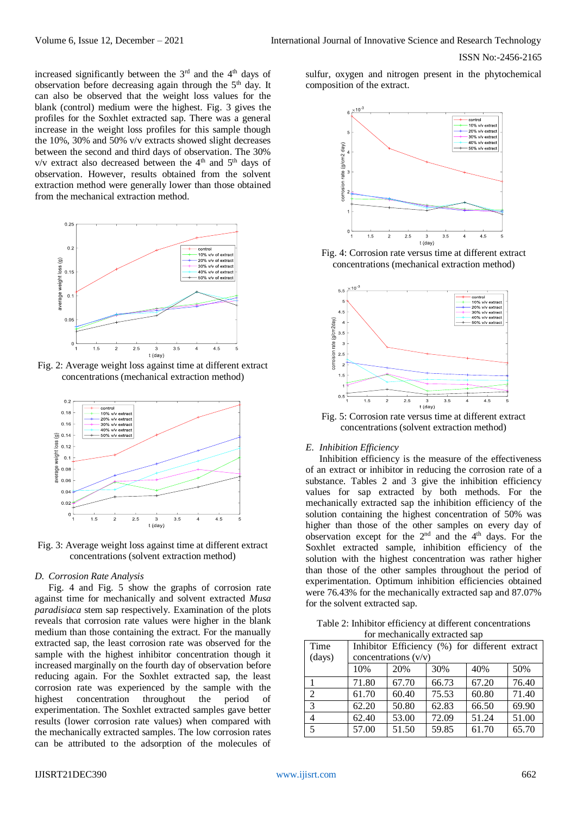increased significantly between the  $3<sup>rd</sup>$  and the  $4<sup>th</sup>$  days of observation before decreasing again through the 5th day. It can also be observed that the weight loss values for the blank (control) medium were the highest. Fig. 3 gives the profiles for the Soxhlet extracted sap. There was a general increase in the weight loss profiles for this sample though the 10%, 30% and 50% v/v extracts showed slight decreases between the second and third days of observation. The 30%  $v/v$  extract also decreased between the 4<sup>th</sup> and 5<sup>th</sup> days of observation. However, results obtained from the solvent extraction method were generally lower than those obtained from the mechanical extraction method.



Fig. 2: Average weight loss against time at different extract concentrations (mechanical extraction method)



Fig. 3: Average weight loss against time at different extract concentrations (solvent extraction method)

# *D. Corrosion Rate Analysis*

Fig. 4 and Fig. 5 show the graphs of corrosion rate against time for mechanically and solvent extracted *Musa paradisiaca* stem sap respectively. Examination of the plots reveals that corrosion rate values were higher in the blank medium than those containing the extract. For the manually extracted sap, the least corrosion rate was observed for the sample with the highest inhibitor concentration though it increased marginally on the fourth day of observation before reducing again. For the Soxhlet extracted sap, the least corrosion rate was experienced by the sample with the highest concentration throughout the period of experimentation. The Soxhlet extracted samples gave better results (lower corrosion rate values) when compared with the mechanically extracted samples. The low corrosion rates can be attributed to the adsorption of the molecules of

sulfur, oxygen and nitrogen present in the phytochemical composition of the extract.



Fig. 4: Corrosion rate versus time at different extract concentrations (mechanical extraction method)



Fig. 5: Corrosion rate versus time at different extract concentrations (solvent extraction method)

#### *E. Inhibition Efficiency*

Inhibition efficiency is the measure of the effectiveness of an extract or inhibitor in reducing the corrosion rate of a substance. Tables 2 and 3 give the inhibition efficiency values for sap extracted by both methods. For the mechanically extracted sap the inhibition efficiency of the solution containing the highest concentration of 50% was higher than those of the other samples on every day of observation except for the  $2<sup>nd</sup>$  and the  $4<sup>th</sup>$  days. For the Soxhlet extracted sample, inhibition efficiency of the solution with the highest concentration was rather higher than those of the other samples throughout the period of experimentation. Optimum inhibition efficiencies obtained were 76.43% for the mechanically extracted sap and 87.07% for the solvent extracted sap.

Table 2: Inhibitor efficiency at different concentrations for mechanically extracted sap

| Time           | Inhibitor Efficiency (%) for different extract |       |       |       |       |
|----------------|------------------------------------------------|-------|-------|-------|-------|
| (days)         | concentrations $(v/v)$                         |       |       |       |       |
|                | 10%                                            | 20%   | 30%   | 40%   | 50%   |
|                | 71.80                                          | 67.70 | 66.73 | 67.20 | 76.40 |
| $\overline{2}$ | 61.70                                          | 60.40 | 75.53 | 60.80 | 71.40 |
| 3              | 62.20                                          | 50.80 | 62.83 | 66.50 | 69.90 |
| 4              | 62.40                                          | 53.00 | 72.09 | 51.24 | 51.00 |
| 5              | 57.00                                          | 51.50 | 59.85 | 61.70 | 65.70 |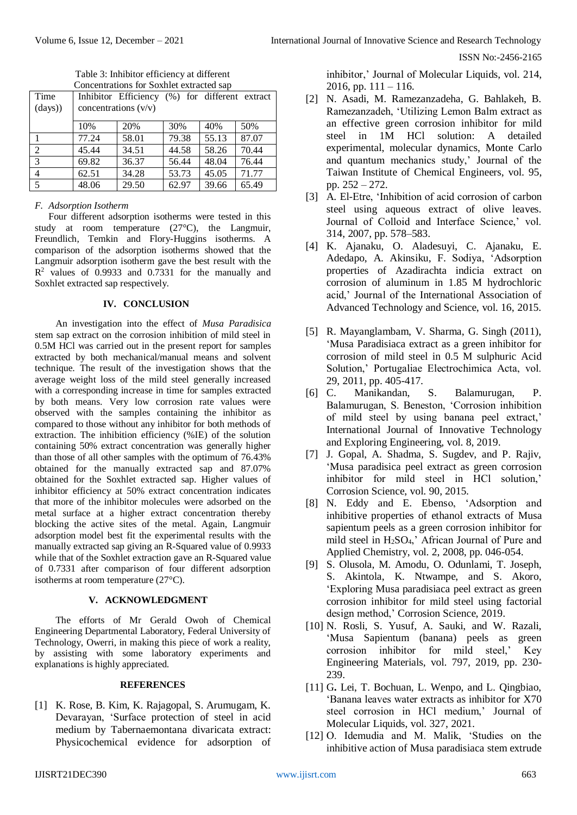| Time           |                        | Inhibitor Efficiency (%) for different extract |       |       |       |
|----------------|------------------------|------------------------------------------------|-------|-------|-------|
| (days)         | concentrations $(v/v)$ |                                                |       |       |       |
|                | 10%                    | 20%                                            | 30%   | 40%   | 50%   |
|                | 77.24                  | 58.01                                          | 79.38 | 55.13 | 87.07 |
| 2              | 45.44                  | 34.51                                          | 44.58 | 58.26 | 70.44 |
| $\overline{3}$ | 69.82                  | 36.37                                          | 56.44 | 48.04 | 76.44 |
| 4              | 62.51                  | 34.28                                          | 53.73 | 45.05 | 71.77 |
| 5              | 48.06                  | 29.50                                          | 62.97 | 39.66 | 65.49 |

Table 3: Inhibitor efficiency at different Concentrations for Soxhlet extracted sap

# *F. Adsorption Isotherm*

Four different adsorption isotherms were tested in this study at room temperature (27°C), the Langmuir, Freundlich, Temkin and Flory-Huggins isotherms. A comparison of the adsorption isotherms showed that the Langmuir adsorption isotherm gave the best result with the R <sup>2</sup> values of 0.9933 and 0.7331 for the manually and Soxhlet extracted sap respectively.

# **IV. CONCLUSION**

An investigation into the effect of *Musa Paradisica* stem sap extract on the corrosion inhibition of mild steel in 0.5M HCl was carried out in the present report for samples extracted by both mechanical/manual means and solvent technique. The result of the investigation shows that the average weight loss of the mild steel generally increased with a corresponding increase in time for samples extracted by both means. Very low corrosion rate values were observed with the samples containing the inhibitor as compared to those without any inhibitor for both methods of extraction. The inhibition efficiency (%IE) of the solution containing 50% extract concentration was generally higher than those of all other samples with the optimum of 76.43% obtained for the manually extracted sap and 87.07% obtained for the Soxhlet extracted sap. Higher values of inhibitor efficiency at 50% extract concentration indicates that more of the inhibitor molecules were adsorbed on the metal surface at a higher extract concentration thereby blocking the active sites of the metal. Again, Langmuir adsorption model best fit the experimental results with the manually extracted sap giving an R-Squared value of 0.9933 while that of the Soxhlet extraction gave an R-Squared value of 0.7331 after comparison of four different adsorption isotherms at room temperature (27°C).

# **V. ACKNOWLEDGMENT**

The efforts of Mr Gerald Owoh of Chemical Engineering Departmental Laboratory, Federal University of Technology, Owerri, in making this piece of work a reality, by assisting with some laboratory experiments and explanations is highly appreciated.

# **REFERENCES**

[1] K. Rose, B. Kim, K. Rajagopal, S. Arumugam, K. Devarayan, 'Surface protection of steel in acid medium by Tabernaemontana divaricata extract: Physicochemical evidence for adsorption of inhibitor,' Journal of Molecular Liquids, vol. 214, 2016, pp.  $111 - 116$ .

- [2] N. Asadi, M. Ramezanzadeha, G. Bahlakeh, B. Ramezanzadeh, 'Utilizing Lemon Balm extract as an effective green corrosion inhibitor for mild steel in 1M HCl solution: A detailed experimental, molecular dynamics, Monte Carlo and quantum mechanics study,' Journal of the Taiwan Institute of Chemical Engineers, vol. 95, pp. 252 – 272.
- [3] A. El-Etre, 'Inhibition of acid corrosion of carbon steel using aqueous extract of olive leaves. Journal of Colloid and Interface Science,' vol. 314, 2007, pp. 578–583.
- [4] K. Ajanaku, O. Aladesuyi, C. Ajanaku, E. Adedapo, A. Akinsiku, F. Sodiya, 'Adsorption properties of Azadirachta indicia extract on corrosion of aluminum in 1.85 M hydrochloric acid,' Journal of the International Association of Advanced Technology and Science, vol. 16, 2015.
- [5] R. Mayanglambam, V. Sharma, G. Singh (2011), 'Musa Paradisiaca extract as a green inhibitor for corrosion of mild steel in 0.5 M sulphuric Acid Solution,' Portugaliae Electrochimica Acta, vol. 29, 2011, pp. 405-417.
- [6] C. Manikandan, S. Balamurugan, P. Balamurugan, S. Beneston, 'Corrosion inhibition of mild steel by using banana peel extract,' International Journal of Innovative Technology and Exploring Engineering, vol. 8, 2019.
- [7] J. Gopal, A. Shadma, S. Sugdev, and P. Rajiv, 'Musa paradisica peel extract as green corrosion inhibitor for mild steel in HCl solution,' Corrosion Science, vol. 90, 2015.
- [8] N. Eddy and E. Ebenso, 'Adsorption and inhibitive properties of ethanol extracts of Musa sapientum peels as a green corrosion inhibitor for mild steel in  $H_2SO_4$ ,' African Journal of Pure and Applied Chemistry, vol. 2, 2008, pp. 046-054.
- [9] S. Olusola, M. Amodu, O. Odunlami, T. Joseph, S. Akintola, K. Ntwampe, and S. Akoro, 'Exploring Musa paradisiaca peel extract as green corrosion inhibitor for mild steel using factorial design method,' Corrosion Science, 2019.
- [10] N. Rosli, S. Yusuf, A. Sauki, and W. Razali, 'Musa Sapientum (banana) peels as green corrosion inhibitor for mild steel,' Key Engineering Materials, vol. 797, 2019, pp. 230- 239.
- [11] G**.** Lei, T. Bochuan, L. Wenpo, and L. Qingbiao, 'Banana leaves water extracts as inhibitor for X70 steel corrosion in HCl medium,' Journal of Molecular Liquids, vol. 327, 2021.
- [12] O. Idemudia and M. Malik, 'Studies on the inhibitive action of Musa paradisiaca stem extrude